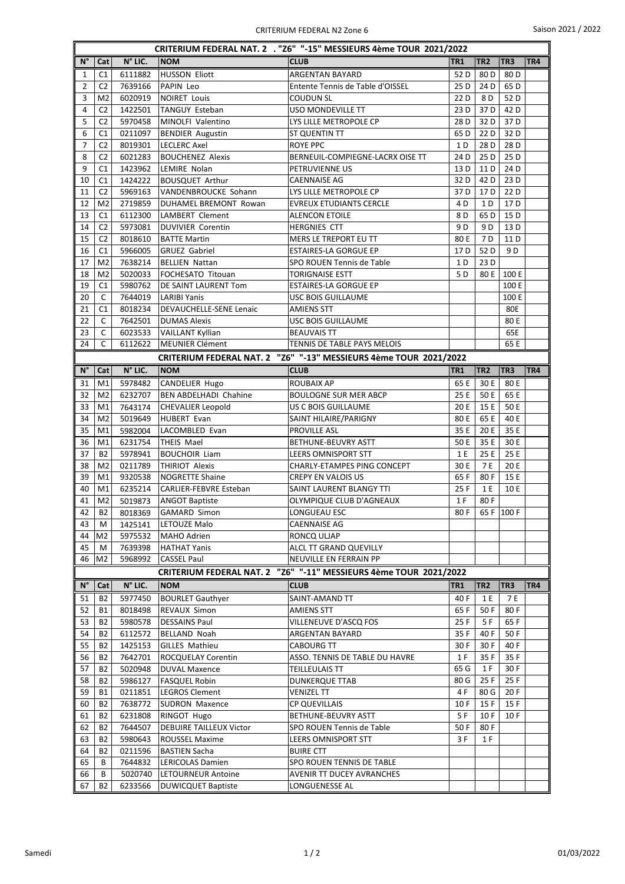| CRITERIUM FEDERAL NAT. 2 . "Z6" "-15" MESSIEURS 4ème TOUR 2021/2022 |                |         |                                 |                                                                   |                 |                 |                 |     |  |  |  |
|---------------------------------------------------------------------|----------------|---------|---------------------------------|-------------------------------------------------------------------|-----------------|-----------------|-----------------|-----|--|--|--|
| N°                                                                  | Cat            | N° LIC. | <b>NOM</b>                      | <b>CLUB</b>                                                       | <b>TR1</b>      | TR <sub>2</sub> | TR <sub>3</sub> | TR4 |  |  |  |
| 1                                                                   | C1             | 6111882 | <b>HUSSON Eliott</b>            | <b>ARGENTAN BAYARD</b>                                            | 52 D            | 80 <sub>D</sub> | 80 <sub>D</sub> |     |  |  |  |
| $\overline{2}$                                                      | C <sub>2</sub> | 7639166 | PAPIN Leo                       | Entente Tennis de Table d'OISSEL                                  | 25 D            | 24 D            | 65 D            |     |  |  |  |
| 3                                                                   | M <sub>2</sub> | 6020919 | <b>NOIRET Louis</b>             | COUDUN SL                                                         | 22 D            | 8 D             | 52 D            |     |  |  |  |
| 4                                                                   | C <sub>2</sub> | 1422501 | <b>TANGUY Esteban</b>           | USO MONDEVILLE TT                                                 | 23 D            | 37 D            | 42 D            |     |  |  |  |
| 5                                                                   | C <sub>2</sub> | 5970458 | MINOLFI Valentino               | LYS LILLE METROPOLE CP                                            | 28 D            | 32 D            | 37 <sub>D</sub> |     |  |  |  |
| 6                                                                   | C1             | 0211097 | <b>BENDIER Augustin</b>         | ST QUENTIN TT                                                     | 65 D            | 22 D            | 32 D            |     |  |  |  |
| $\overline{7}$                                                      | C <sub>2</sub> | 8019301 | <b>LECLERC Axel</b>             | <b>ROYE PPC</b>                                                   | 1 D             | 28 D            | 28 D            |     |  |  |  |
| 8                                                                   | C <sub>2</sub> | 6021283 | <b>BOUCHENEZ Alexis</b>         | BERNEUIL-COMPIEGNE-LACRX OISE TT                                  | 24 D            | 25 D            | 25 D            |     |  |  |  |
| 9                                                                   | C1             | 1423962 | LEMIRE Nolan                    | PETRUVIENNE US                                                    | 13 D            | 11 D            | 24 D            |     |  |  |  |
| 10                                                                  | C1             | 1424222 | <b>BOUSQUET Arthur</b>          | <b>CAENNAISE AG</b>                                               | 32 D            | 42 D            | 23 D            |     |  |  |  |
| 11                                                                  | C <sub>2</sub> | 5969163 | VANDENBROUCKE Sohann            | LYS LILLE METROPOLE CP                                            | 37 D            | 17 D            | 22 D            |     |  |  |  |
| 12                                                                  | M <sub>2</sub> | 2719859 | DUHAMEL BREMONT Rowan           | <b>EVREUX ETUDIANTS CERCLE</b>                                    | 4 D             | 1 D             | 17 <sub>D</sub> |     |  |  |  |
| 13                                                                  | C <sub>1</sub> | 6112300 | LAMBERT Clement                 | <b>ALENCON ETOILE</b>                                             | 8 D             | 65 D            | 15 D            |     |  |  |  |
| 14                                                                  | C <sub>2</sub> | 5973081 | <b>DUVIVIER Corentin</b>        | <b>HERGNIES CTT</b>                                               | 9 D             | 9 <sub>D</sub>  | 13 D            |     |  |  |  |
| 15                                                                  | C <sub>2</sub> | 8018610 | <b>BATTE Martin</b>             | MERS LE TREPORT EU TT                                             | 80 E            | 7 D             | 11 D            |     |  |  |  |
| 16                                                                  | C1             | 5966005 | <b>GRUEZ Gabriel</b>            | <b>ESTAIRES-LA GORGUE EP</b>                                      | 17 D            | 52D             | 9 D             |     |  |  |  |
| 17                                                                  | M <sub>2</sub> | 7638214 | <b>BELLIEN Nattan</b>           | SPO ROUEN Tennis de Table                                         | 1 D             | 23 D            |                 |     |  |  |  |
| 18                                                                  | M <sub>2</sub> | 5020033 | FOCHESATO Titouan               | TORIGNAISE ESTT                                                   | 5 D             | 80 E            | 100 E           |     |  |  |  |
| 19                                                                  | C1             | 5980762 | DE SAINT LAURENT Tom            | <b>ESTAIRES-LA GORGUE EP</b>                                      |                 |                 | 100 E           |     |  |  |  |
| 20                                                                  | C              | 7644019 | <b>LARIBI Yanis</b>             | USC BOIS GUILLAUME                                                |                 |                 | 100 E           |     |  |  |  |
| 21                                                                  | C1             | 8018234 | <b>DEVAUCHELLE-SENE Lenaic</b>  | <b>AMIENS STT</b>                                                 |                 |                 | 80E             |     |  |  |  |
| 22                                                                  | C              | 7642501 | <b>DUMAS Alexis</b>             | <b>USC BOIS GUILLAUME</b>                                         |                 |                 | 80 E            |     |  |  |  |
| 23                                                                  | C              | 6023533 | <b>VAILLANT Kyllian</b>         | <b>BEAUVAIS TT</b>                                                |                 |                 | 65E             |     |  |  |  |
| 24                                                                  | C              | 6112622 | <b>MEUNIER Clément</b>          | TENNIS DE TABLE PAYS MELOIS                                       |                 |                 | 65 E            |     |  |  |  |
|                                                                     |                |         |                                 | CRITERIUM FEDERAL NAT. 2 "Z6" "-13" MESSIEURS 4ème TOUR 2021/2022 |                 |                 |                 |     |  |  |  |
| $N^{\circ}$                                                         | Cat            | N° LIC. | <b>NOM</b>                      | <b>CLUB</b>                                                       | TR <sub>1</sub> | TR <sub>2</sub> | TR <sub>3</sub> | TR4 |  |  |  |
| 31                                                                  | M1             | 5978482 | <b>CANDELIER Hugo</b>           | <b>ROUBAIX AP</b>                                                 | 65 E            | 30 E            | 80 E            |     |  |  |  |
| 32                                                                  | M <sub>2</sub> | 6232707 | <b>BEN ABDELHADI Chahine</b>    | <b>BOULOGNE SUR MER ABCP</b>                                      | 25 E            | 50 E            | 65 E            |     |  |  |  |
| 33                                                                  | M1             | 7643174 | <b>CHEVALIER Leopold</b>        | US C BOIS GUILLAUME                                               | 20 E            | 15 E            | 50 E            |     |  |  |  |
| 34                                                                  | M <sub>2</sub> | 5019649 | <b>HUBERT Evan</b>              | SAINT HILAIRE/PARIGNY                                             | 80 E            | 65 E            | 40 E            |     |  |  |  |
| 35                                                                  | M1             | 5982004 | LACOMBLED Evan                  | PROVILLE ASL                                                      | 35 E            | 20 E            | 35 E            |     |  |  |  |
| 36                                                                  | M1             | 6231754 | <b>THEIS Mael</b>               | BETHUNE-BEUVRY ASTT                                               | 50 E            | 35 E            | 30 E            |     |  |  |  |
| 37                                                                  | <b>B2</b>      | 5978941 | <b>BOUCHOIR Liam</b>            | <b>LEERS OMNISPORT STT</b>                                        | 1 E             | 25 E            | 25 E            |     |  |  |  |
| 38                                                                  | M <sub>2</sub> | 0211789 | THIRIOT Alexis                  | CHARLY-ETAMPES PING CONCEPT                                       | 30 E            | 7 E             | 20 E            |     |  |  |  |
| 39                                                                  | M1             | 9320538 | <b>NOGRETTE Shaine</b>          | <b>CREPY EN VALOIS US</b>                                         | 65F             | 80F             | 15 E            |     |  |  |  |
| 40                                                                  | M1             | 6235214 | CARLIER-FEBVRE Esteban          | SAINT LAURENT BLANGY TTI                                          | 25 F            | 1 E             | 10 E            |     |  |  |  |
| 41                                                                  | M <sub>2</sub> | 5019873 | <b>ANGOT Baptiste</b>           | OLYMPIQUE CLUB D'AGNEAUX                                          | 1 F             | 80F             |                 |     |  |  |  |
| 42                                                                  | B2             |         | 8018369 GAMARD Simon            | LONGUEAU ESC                                                      |                 | 80 F 65 F 100 F |                 |     |  |  |  |
| 43                                                                  | M              | 1425141 | LETOUZE Malo                    | CAENNAISE AG                                                      |                 |                 |                 |     |  |  |  |
| 44                                                                  | M2             | 5975532 | MAHO Adrien                     | RONCQ ULJAP                                                       |                 |                 |                 |     |  |  |  |
| 45                                                                  | M              | 7639398 | <b>HATHAT Yanis</b>             | ALCL TT GRAND QUEVILLY                                            |                 |                 |                 |     |  |  |  |
| 46                                                                  | M <sub>2</sub> | 5968992 | <b>CASSEL Paul</b>              | NEUVILLE EN FERRAIN PP                                            |                 |                 |                 |     |  |  |  |
|                                                                     |                |         | <b>CRITERIUM FEDERAL NAT. 2</b> | "Z6" "-11" MESSIEURS 4ème TOUR 2021/2022                          |                 |                 |                 |     |  |  |  |
| N°                                                                  | Cat            | N° LIC. | <b>NOM</b>                      | <b>CLUB</b>                                                       | TR <sub>1</sub> | TR <sub>2</sub> | TR3             | TR4 |  |  |  |
| 51                                                                  | <b>B2</b>      | 5977450 | <b>BOURLET Gauthyer</b>         | SAINT-AMAND TT                                                    | 40 F            | 1 E             | 7 E             |     |  |  |  |
| 52                                                                  | <b>B1</b>      | 8018498 | REVAUX Simon                    | <b>AMIENS STT</b>                                                 | 65 F            | 50 F            | 80 F            |     |  |  |  |
| 53                                                                  | B2             | 5980578 | <b>DESSAINS Paul</b>            | VILLENEUVE D'ASCQ FOS                                             | 25 F            | 5 F             | 65 F            |     |  |  |  |
| 54                                                                  | B2             | 6112572 | BELLAND Noah                    | ARGENTAN BAYARD                                                   | 35 F            | 40 F            | 50 F            |     |  |  |  |
| 55                                                                  | B2             | 1425153 | <b>GILLES Mathieu</b>           | CABOURG TT                                                        | 30 F            | 30 F            | 40 F            |     |  |  |  |
| 56                                                                  | B2             | 7642701 | ROCQUELAY Corentin              | ASSO. TENNIS DE TABLE DU HAVRE                                    | 1 F             | 35 F            | 35 F            |     |  |  |  |
| 57                                                                  | <b>B2</b>      | 5020948 | <b>DUVAL Maxence</b>            | <b>TEILLEULAIS TT</b>                                             | 65 G            | 1 F             | 30 F            |     |  |  |  |
| 58                                                                  | B2             | 5986127 | <b>FASQUEL Robin</b>            | <b>DUNKERQUE TTAB</b>                                             | 80 G            | 25F             | 25F             |     |  |  |  |
| 59                                                                  | B1             | 0211851 | <b>LEGROS Clement</b>           | VENIZEL TT                                                        | 4 F             | 80 G            | 20 F            |     |  |  |  |
| 60                                                                  | <b>B2</b>      | 7638772 | SUDRON Maxence                  | <b>CP QUEVILLAIS</b>                                              | 10 F            | 15F             | 15F             |     |  |  |  |
| 61                                                                  | B2             | 6231808 | RINGOT Hugo                     | BETHUNE-BEUVRY ASTT                                               | 5 F             | 10 F            | 10 F            |     |  |  |  |
| 62                                                                  | <b>B2</b>      | 7644507 | <b>DEBUIRE TAILLEUX Victor</b>  | SPO ROUEN Tennis de Table                                         | 50 F            | 80 F            |                 |     |  |  |  |
| 63                                                                  | B2             | 5980643 | ROUSSEL Maxime                  | LEERS OMNISPORT STT                                               | 3 F             | 1 F             |                 |     |  |  |  |
| 64                                                                  | B2             | 0211596 | <b>BASTIEN Sacha</b>            | <b>BUIRE CTT</b>                                                  |                 |                 |                 |     |  |  |  |
| 65                                                                  | B              | 7644832 | LERICOLAS Damien                | SPO ROUEN TENNIS DE TABLE                                         |                 |                 |                 |     |  |  |  |
| 66                                                                  | В              | 5020740 | LETOURNEUR Antoine              | AVENIR TT DUCEY AVRANCHES                                         |                 |                 |                 |     |  |  |  |
| 67                                                                  | B2             | 6233566 | <b>DUWICQUET Baptiste</b>       | LONGUENESSE AL                                                    |                 |                 |                 |     |  |  |  |